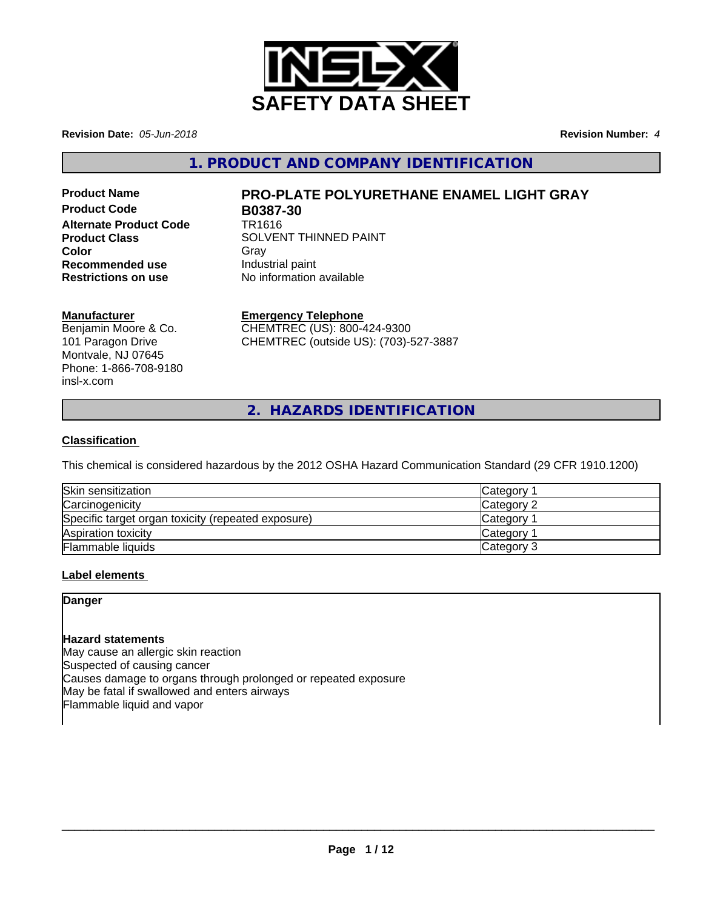

**Revision Date:** *05-Jun-2018* **Revision Number:** *4*

**1. PRODUCT AND COMPANY IDENTIFICATION**

**Product Code B0387-30 Alternate Product Code** TR1616 **Recommended use Industrial paint**<br> **Restrictions on use No information** 

# **Product Name PRO-PLATE POLYURETHANE ENAMEL LIGHT GRAY**

**Product Class SOLVENT THINNED PAINT Color** Gray Gray **No information available** 

### **Manufacturer**

Benjamin Moore & Co. 101 Paragon Drive Montvale, NJ 07645 Phone: 1-866-708-9180 insl-x.com

## **Emergency Telephone**

CHEMTREC (US): 800-424-9300 CHEMTREC (outside US): (703)-527-3887

**2. HAZARDS IDENTIFICATION**

### **Classification**

This chemical is considered hazardous by the 2012 OSHA Hazard Communication Standard (29 CFR 1910.1200)

| Skin sensitization                                 | <b>Category</b> |
|----------------------------------------------------|-----------------|
| Carcinogenicity                                    | Category 2      |
| Specific target organ toxicity (repeated exposure) | <b>Category</b> |
| Aspiration toxicity                                | Category        |
| <b>Flammable liquids</b>                           | Category 3      |

### **Label elements**

### **Danger**

### **Hazard statements**

May cause an allergic skin reaction Suspected of causing cancer Causes damage to organs through prolonged or repeated exposure May be fatal if swallowed and enters airways Flammable liquid and vapor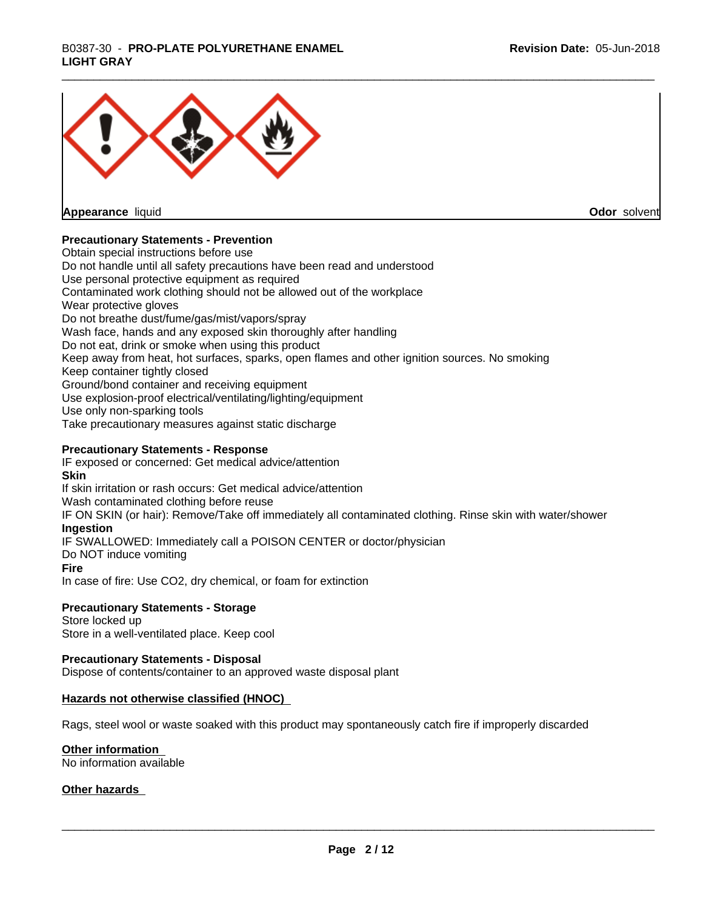# \_\_\_\_\_\_\_\_\_\_\_\_\_\_\_\_\_\_\_\_\_\_\_\_\_\_\_\_\_\_\_\_\_\_\_\_\_\_\_\_\_\_\_\_\_\_\_\_\_\_\_\_\_\_\_\_\_\_\_\_\_\_\_\_\_\_\_\_\_\_\_\_\_\_\_\_\_\_\_\_\_\_\_\_\_\_\_\_\_\_\_\_\_ B0387-30 - **PRO-PLATE POLYURETHANE ENAMEL LIGHT GRAY**



**Appearance** liquid

**Odor** solvent

#### **Precautionary Statements - Prevention**

Obtain special instructions before use Do not handle until all safety precautions have been read and understood Use personal protective equipment as required Contaminated work clothing should not be allowed out of the workplace Wear protective gloves Do not breathe dust/fume/gas/mist/vapors/spray Wash face, hands and any exposed skin thoroughly after handling Do not eat, drink or smoke when using this product Keep away from heat, hot surfaces, sparks, open flames and other ignition sources. No smoking Keep container tightly closed Ground/bond container and receiving equipment Use explosion-proof electrical/ventilating/lighting/equipment Use only non-sparking tools Take precautionary measures against static discharge

#### **Precautionary Statements - Response**

IF exposed or concerned: Get medical advice/attention **Skin** If skin irritation or rash occurs: Get medical advice/attention Wash contaminated clothing before reuse IF ON SKIN (or hair): Remove/Take off immediately all contaminated clothing. Rinse skin with water/shower **Ingestion** IF SWALLOWED: Immediately call a POISON CENTER or doctor/physician Do NOT induce vomiting **Fire** In case of fire: Use CO2, dry chemical, or foam for extinction

#### **Precautionary Statements - Storage**

Store locked up Store in a well-ventilated place. Keep cool

#### **Precautionary Statements - Disposal**

Dispose of contents/container to an approved waste disposal plant

#### **Hazards not otherwise classified (HNOC)**

Rags, steel wool or waste soaked with this product may spontaneously catch fire if improperly discarded

#### **Other information**

No information available

#### **Other hazards**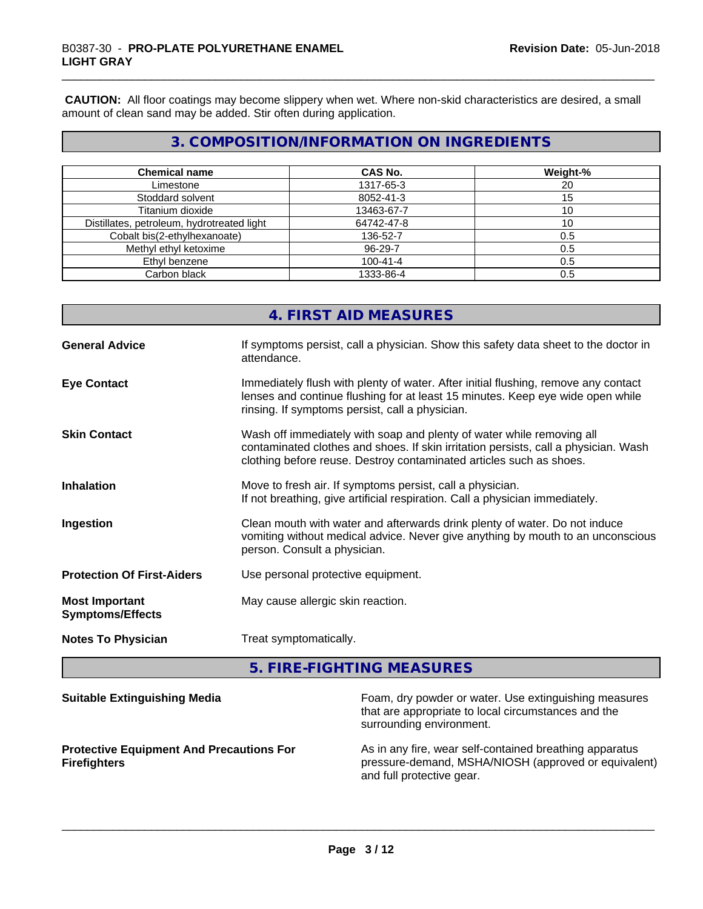**CAUTION:** All floor coatings may become slippery when wet. Where non-skid characteristics are desired, a small amount of clean sand may be added. Stir often during application.

# **3. COMPOSITION/INFORMATION ON INGREDIENTS**

| <b>Chemical name</b>                       | <b>CAS No.</b> | Weight-% |
|--------------------------------------------|----------------|----------|
| Limestone                                  | 1317-65-3      | 20       |
| Stoddard solvent                           | 8052-41-3      | 15       |
| Titanium dioxide                           | 13463-67-7     |          |
| Distillates, petroleum, hydrotreated light | 64742-47-8     |          |
| Cobalt bis(2-ethylhexanoate)               | 136-52-7       | 0.5      |
| Methyl ethyl ketoxime                      | 96-29-7        | 0.5      |
| Ethyl benzene                              | $100 - 41 - 4$ | 0.5      |
| Carbon black                               | 1333-86-4      | 0.5      |

# **4. FIRST AID MEASURES**

| <b>General Advice</b>                            | If symptoms persist, call a physician. Show this safety data sheet to the doctor in<br>attendance.                                                                                                                                  |
|--------------------------------------------------|-------------------------------------------------------------------------------------------------------------------------------------------------------------------------------------------------------------------------------------|
| <b>Eye Contact</b>                               | Immediately flush with plenty of water. After initial flushing, remove any contact<br>lenses and continue flushing for at least 15 minutes. Keep eye wide open while<br>rinsing. If symptoms persist, call a physician.             |
| <b>Skin Contact</b>                              | Wash off immediately with soap and plenty of water while removing all<br>contaminated clothes and shoes. If skin irritation persists, call a physician. Wash<br>clothing before reuse. Destroy contaminated articles such as shoes. |
| <b>Inhalation</b>                                | Move to fresh air. If symptoms persist, call a physician.<br>If not breathing, give artificial respiration. Call a physician immediately.                                                                                           |
| Ingestion                                        | Clean mouth with water and afterwards drink plenty of water. Do not induce<br>vomiting without medical advice. Never give anything by mouth to an unconscious<br>person. Consult a physician.                                       |
| <b>Protection Of First-Aiders</b>                | Use personal protective equipment.                                                                                                                                                                                                  |
| <b>Most Important</b><br><b>Symptoms/Effects</b> | May cause allergic skin reaction.                                                                                                                                                                                                   |
| <b>Notes To Physician</b>                        | Treat symptomatically.                                                                                                                                                                                                              |

**5. FIRE-FIGHTING MEASURES**

| <b>Suitable Extinguishing Media</b>                                    | Foam, dry powder or water. Use extinguishing measures<br>that are appropriate to local circumstances and the<br>surrounding environment.     |
|------------------------------------------------------------------------|----------------------------------------------------------------------------------------------------------------------------------------------|
| <b>Protective Equipment And Precautions For</b><br><b>Firefighters</b> | As in any fire, wear self-contained breathing apparatus<br>pressure-demand, MSHA/NIOSH (approved or equivalent)<br>and full protective gear. |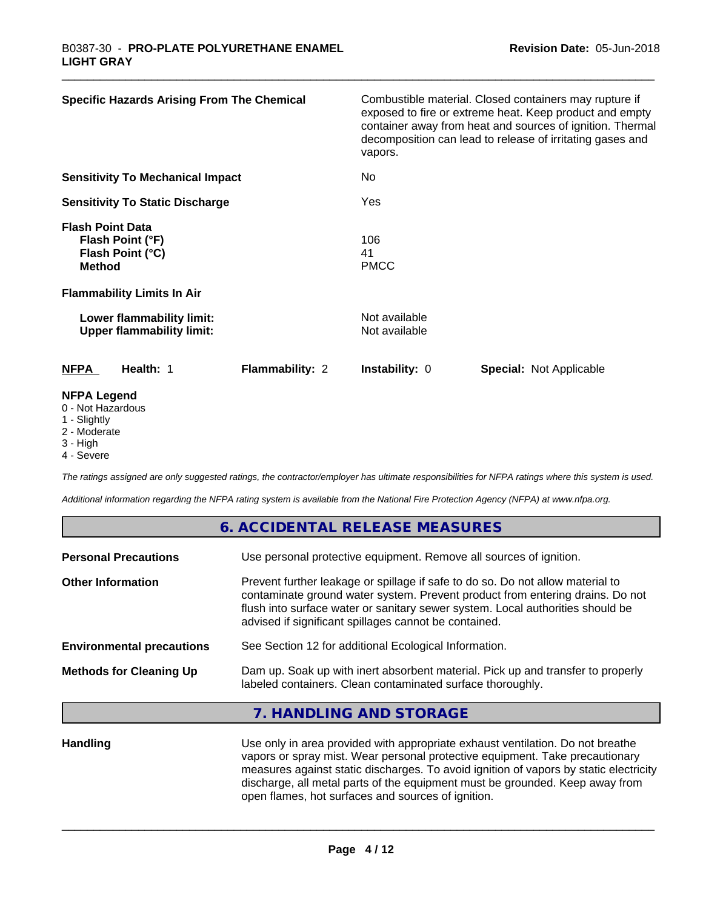| <b>Specific Hazards Arising From The Chemical</b>                                | Combustible material. Closed containers may rupture if<br>exposed to fire or extreme heat. Keep product and empty<br>container away from heat and sources of ignition. Thermal<br>decomposition can lead to release of irritating gases and<br>vapors. |
|----------------------------------------------------------------------------------|--------------------------------------------------------------------------------------------------------------------------------------------------------------------------------------------------------------------------------------------------------|
| <b>Sensitivity To Mechanical Impact</b>                                          | No.                                                                                                                                                                                                                                                    |
| <b>Sensitivity To Static Discharge</b>                                           | Yes                                                                                                                                                                                                                                                    |
| <b>Flash Point Data</b><br>Flash Point (°F)<br>Flash Point (°C)<br><b>Method</b> | 106<br>41<br><b>PMCC</b>                                                                                                                                                                                                                               |
| <b>Flammability Limits In Air</b>                                                |                                                                                                                                                                                                                                                        |
| Lower flammability limit:<br><b>Upper flammability limit:</b>                    | Not available<br>Not available                                                                                                                                                                                                                         |
| Flammability: 2<br><b>NFPA</b><br>Health: 1                                      | <b>Instability: 0</b><br><b>Special: Not Applicable</b>                                                                                                                                                                                                |
| <b>NFPA Legend</b><br>0 - Not Hazardous<br>4 Cliabthr                            |                                                                                                                                                                                                                                                        |

- 1 Slightly
- 2 Moderate
- 3 High
- 4 Severe

*The ratings assigned are only suggested ratings, the contractor/employer has ultimate responsibilities for NFPA ratings where this system is used.*

**6. ACCIDENTAL RELEASE MEASURES**

*Additional information regarding the NFPA rating system is available from the National Fire Protection Agency (NFPA) at www.nfpa.org.*

|                                  | 6. ACCIDENTAL RELEASE MEASURES                                                                                                                                                                                                                                                                             |
|----------------------------------|------------------------------------------------------------------------------------------------------------------------------------------------------------------------------------------------------------------------------------------------------------------------------------------------------------|
| <b>Personal Precautions</b>      | Use personal protective equipment. Remove all sources of ignition.                                                                                                                                                                                                                                         |
| <b>Other Information</b>         | Prevent further leakage or spillage if safe to do so. Do not allow material to<br>contaminate ground water system. Prevent product from entering drains. Do not<br>flush into surface water or sanitary sewer system. Local authorities should be<br>advised if significant spillages cannot be contained. |
| <b>Environmental precautions</b> | See Section 12 for additional Ecological Information.                                                                                                                                                                                                                                                      |
| <b>Methods for Cleaning Up</b>   | Dam up. Soak up with inert absorbent material. Pick up and transfer to properly<br>labeled containers. Clean contaminated surface thoroughly.                                                                                                                                                              |
|                                  | 7. HANDLING AND STORAGE                                                                                                                                                                                                                                                                                    |
|                                  |                                                                                                                                                                                                                                                                                                            |

Handling **Handling** Use only in area provided with appropriate exhaust ventilation. Do not breathe vapors or spray mist. Wear personal protective equipment. Take precautionary measures against static discharges. To avoid ignition of vapors by static electricity discharge, all metal parts of the equipment must be grounded. Keep away from open flames, hot surfaces and sources of ignition.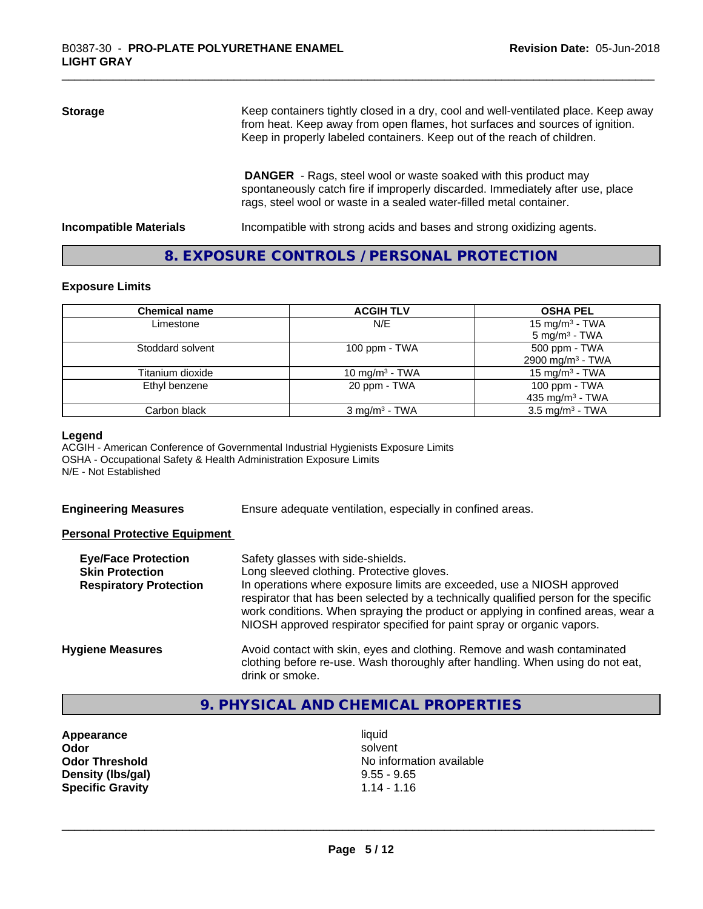| <b>Storage</b> | Keep containers tightly closed in a dry, cool and well-ventilated place. Keep away<br>from heat. Keep away from open flames, hot surfaces and sources of ignition.<br>Keep in properly labeled containers. Keep out of the reach of children. |
|----------------|-----------------------------------------------------------------------------------------------------------------------------------------------------------------------------------------------------------------------------------------------|
|                | <b>DANGER</b> - Rags, steel wool or waste soaked with this product may<br>spontaneously catch fire if improperly discarded. Immediately after use, place<br>rags, steel wool or waste in a sealed water-filled metal container.               |

**Incompatible Materials Incompatible with strong acids and bases and strong oxidizing agents.** 

## **8. EXPOSURE CONTROLS / PERSONAL PROTECTION**

#### **Exposure Limits**

| <b>Chemical name</b> | <b>ACGIH TLV</b>         | <b>OSHA PEL</b>                                        |
|----------------------|--------------------------|--------------------------------------------------------|
| Limestone            | N/E                      | 15 mg/m <sup>3</sup> - TWA<br>$5 \text{ mg/m}^3$ - TWA |
| Stoddard solvent     | 100 ppm $-$ TWA          | 500 ppm - TWA<br>2900 mg/m <sup>3</sup> - TWA          |
| Titanium dioxide     | 10 mg/m $3$ - TWA        | 15 mg/m $3$ - TWA                                      |
| Ethyl benzene        | 20 ppm - TWA             | 100 ppm - TWA<br>435 mg/m <sup>3</sup> - TWA           |
| Carbon black         | $3 \text{ mg/m}^3$ - TWA | $3.5 \text{ mg/m}^3$ - TWA                             |

#### **Legend**

ACGIH - American Conference of Governmental Industrial Hygienists Exposure Limits OSHA - Occupational Safety & Health Administration Exposure Limits N/E - Not Established

| <b>Engineering Measures</b> |
|-----------------------------|
|-----------------------------|

Ensure adequate ventilation, especially in confined areas.

#### **Personal Protective Equipment**

| <b>Eye/Face Protection</b><br><b>Skin Protection</b><br><b>Respiratory Protection</b> | Safety glasses with side-shields.<br>Long sleeved clothing. Protective gloves.<br>In operations where exposure limits are exceeded, use a NIOSH approved<br>respirator that has been selected by a technically qualified person for the specific<br>work conditions. When spraying the product or applying in confined areas, wear a<br>NIOSH approved respirator specified for paint spray or organic vapors. |
|---------------------------------------------------------------------------------------|----------------------------------------------------------------------------------------------------------------------------------------------------------------------------------------------------------------------------------------------------------------------------------------------------------------------------------------------------------------------------------------------------------------|
| <b>Hygiene Measures</b>                                                               | Avoid contact with skin, eyes and clothing. Remove and wash contaminated<br>clothing before re-use. Wash thoroughly after handling. When using do not eat,<br>drink or smoke.                                                                                                                                                                                                                                  |

# **9. PHYSICAL AND CHEMICAL PROPERTIES**

**Appearance** liquid **Density (Ibs/gal)** 9.55 - 9.65<br> **Specific Gravity** 1.14 - 1.16 **Specific Gravity** 

**Odor** solvent **Odor Threshold No information available No information available**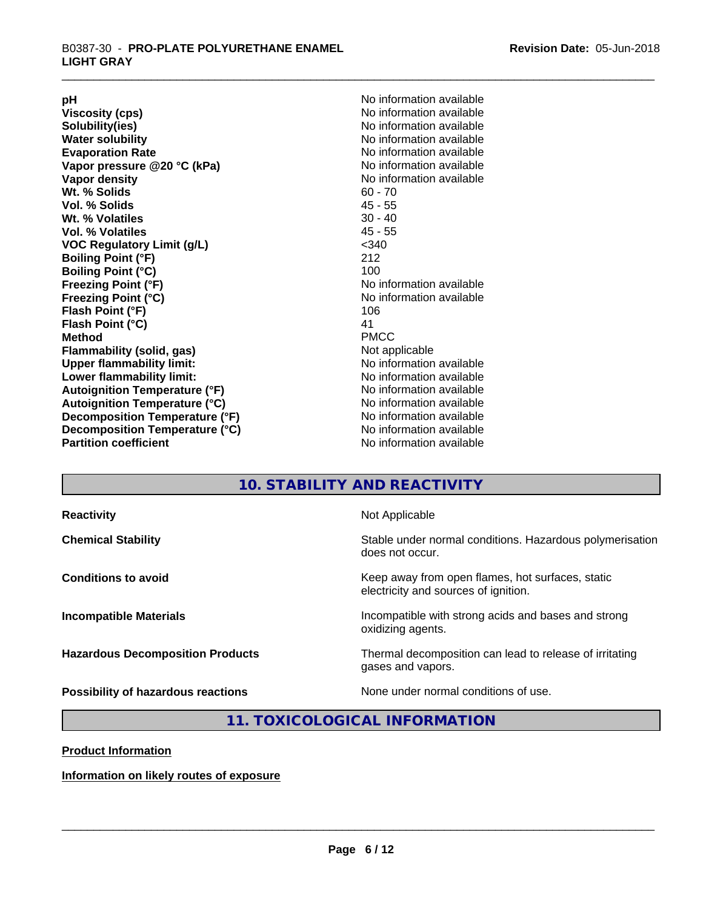**Viscosity (cps)** <br> **Viscosity (cps)** No information available<br>
No information available<br>
No information available **Water solubility**<br> **Evaporation Rate**<br> **Evaporation Rate**<br> **Evaporation Rate Vapor** pressure @20 °C (kPa) **Vapor density No information available Wt. % Solids** 60 - 70<br> **Vol. % Solids** 60 - 70<br> **Vol. % Solids** 65 **Vol. % Solids Wt.** % Volatiles 30 - 40 **Vol. % Volatiles** 45 - 55 **VOC Regulatory Limit (g/L)** <340 **Boiling Point (°F)** 212 **Boiling Point (°C)**<br>Freezing Point (°F) **Freezing Point (°C)** No information available **Flash Point (°F)** 106 **Flash Point (°C)** 41 **Method** PMCC **Flammability (solid, gas)** Not applicable **Upper flammability limit:** No information available **Lower flammability limit:** No information available **Autoignition Temperature (°F)** No information available **Autoignition Temperature (°C)** No information available **Decomposition Temperature (°F)**<br> **Decomposition Temperature (°C)** No information available<br>
No information available **Decomposition Temperature (°C)**<br>Partition coefficient

**pH**<br>
Viscosity (cps) The Contract of the Contract of No information available<br>
No information available **Solubility(ies)** No information available No information available<br>No information available **No information available No information available** 

# **10. STABILITY AND REACTIVITY**

| <b>Reactivity</b>                       | Not Applicable                                                                           |
|-----------------------------------------|------------------------------------------------------------------------------------------|
| <b>Chemical Stability</b>               | Stable under normal conditions. Hazardous polymerisation<br>does not occur.              |
| <b>Conditions to avoid</b>              | Keep away from open flames, hot surfaces, static<br>electricity and sources of ignition. |
| <b>Incompatible Materials</b>           | Incompatible with strong acids and bases and strong<br>oxidizing agents.                 |
| <b>Hazardous Decomposition Products</b> | Thermal decomposition can lead to release of irritating<br>gases and vapors.             |
| Possibility of hazardous reactions      | None under normal conditions of use.                                                     |

# **11. TOXICOLOGICAL INFORMATION**

**Product Information**

**Information on likely routes of exposure**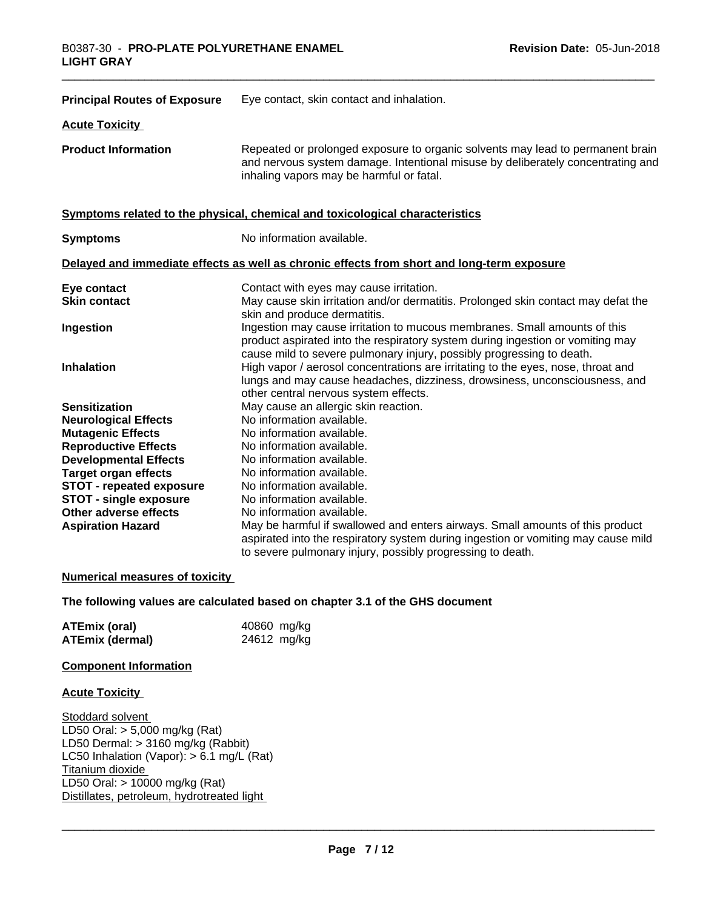| <b>Principal Routes of Exposure</b>                                                                                                                                                                                                                                                                           | Eye contact, skin contact and inhalation.                                                                                                                                                                                                                                                                                                                                                                                                                                                                                                                              |
|---------------------------------------------------------------------------------------------------------------------------------------------------------------------------------------------------------------------------------------------------------------------------------------------------------------|------------------------------------------------------------------------------------------------------------------------------------------------------------------------------------------------------------------------------------------------------------------------------------------------------------------------------------------------------------------------------------------------------------------------------------------------------------------------------------------------------------------------------------------------------------------------|
| <b>Acute Toxicity</b>                                                                                                                                                                                                                                                                                         |                                                                                                                                                                                                                                                                                                                                                                                                                                                                                                                                                                        |
| <b>Product Information</b>                                                                                                                                                                                                                                                                                    | Repeated or prolonged exposure to organic solvents may lead to permanent brain<br>and nervous system damage. Intentional misuse by deliberately concentrating and<br>inhaling vapors may be harmful or fatal.                                                                                                                                                                                                                                                                                                                                                          |
|                                                                                                                                                                                                                                                                                                               | Symptoms related to the physical, chemical and toxicological characteristics                                                                                                                                                                                                                                                                                                                                                                                                                                                                                           |
| <b>Symptoms</b>                                                                                                                                                                                                                                                                                               | No information available.                                                                                                                                                                                                                                                                                                                                                                                                                                                                                                                                              |
|                                                                                                                                                                                                                                                                                                               | Delayed and immediate effects as well as chronic effects from short and long-term exposure                                                                                                                                                                                                                                                                                                                                                                                                                                                                             |
| Eye contact<br><b>Skin contact</b><br>Ingestion<br>Inhalation                                                                                                                                                                                                                                                 | Contact with eyes may cause irritation.<br>May cause skin irritation and/or dermatitis. Prolonged skin contact may defat the<br>skin and produce dermatitis.<br>Ingestion may cause irritation to mucous membranes. Small amounts of this<br>product aspirated into the respiratory system during ingestion or vomiting may<br>cause mild to severe pulmonary injury, possibly progressing to death.<br>High vapor / aerosol concentrations are irritating to the eyes, nose, throat and<br>lungs and may cause headaches, dizziness, drowsiness, unconsciousness, and |
| <b>Sensitization</b><br><b>Neurological Effects</b><br><b>Mutagenic Effects</b><br><b>Reproductive Effects</b><br><b>Developmental Effects</b><br><b>Target organ effects</b><br><b>STOT - repeated exposure</b><br><b>STOT - single exposure</b><br><b>Other adverse effects</b><br><b>Aspiration Hazard</b> | other central nervous system effects.<br>May cause an allergic skin reaction.<br>No information available.<br>No information available.<br>No information available.<br>No information available.<br>No information available.<br>No information available.<br>No information available.<br>No information available.<br>May be harmful if swallowed and enters airways. Small amounts of this product<br>aspirated into the respiratory system during ingestion or vomiting may cause mild<br>to severe pulmonary injury, possibly progressing to death.              |

#### **Numerical measures of toxicity**

#### **The following values are calculated based on chapter 3.1 of the GHS document**

| <b>ATEmix (oral)</b>   | 40860 mg/kg |
|------------------------|-------------|
| <b>ATEmix (dermal)</b> | 24612 mg/kg |

#### **Component Information**

#### **Acute Toxicity**

Stoddard solvent LD50 Oral: > 5,000 mg/kg (Rat) LD50 Dermal: > 3160 mg/kg (Rabbit) LC50 Inhalation (Vapor): > 6.1 mg/L (Rat) Titanium dioxide LD50 Oral: > 10000 mg/kg (Rat) Distillates, petroleum, hydrotreated light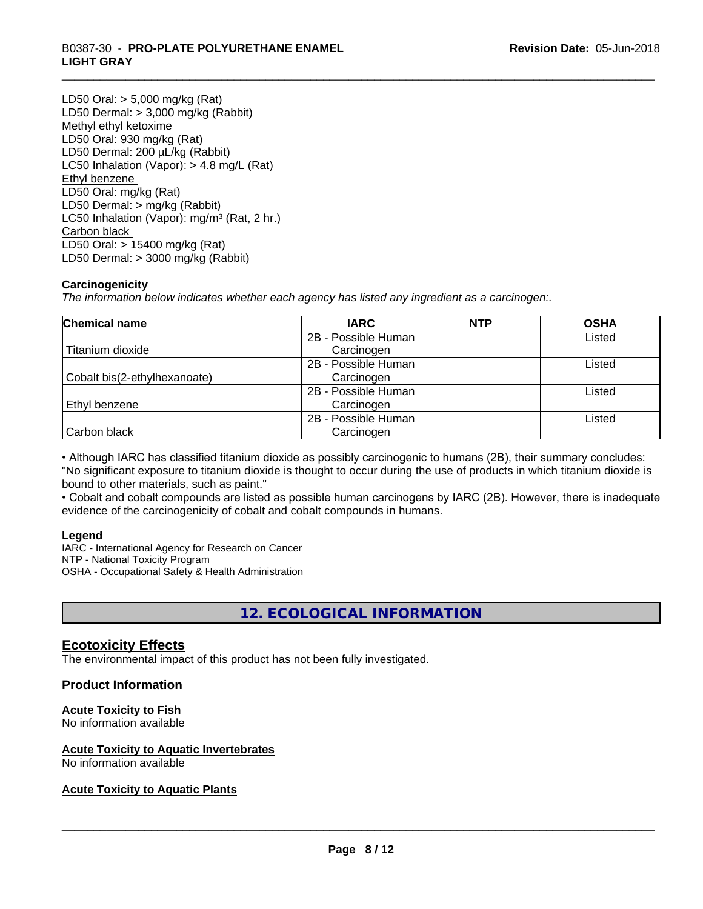# \_\_\_\_\_\_\_\_\_\_\_\_\_\_\_\_\_\_\_\_\_\_\_\_\_\_\_\_\_\_\_\_\_\_\_\_\_\_\_\_\_\_\_\_\_\_\_\_\_\_\_\_\_\_\_\_\_\_\_\_\_\_\_\_\_\_\_\_\_\_\_\_\_\_\_\_\_\_\_\_\_\_\_\_\_\_\_\_\_\_\_\_\_ B0387-30 - **PRO-PLATE POLYURETHANE ENAMEL LIGHT GRAY**

LD50 Oral: > 5,000 mg/kg (Rat) LD50 Dermal: > 3,000 mg/kg (Rabbit) Methyl ethyl ketoxime LD50 Oral: 930 mg/kg (Rat) LD50 Dermal: 200 µL/kg (Rabbit) LC50 Inhalation (Vapor): > 4.8 mg/L (Rat) Ethyl benzene LD50 Oral: mg/kg (Rat) LD50 Dermal: > mg/kg (Rabbit) LC50 Inhalation (Vapor): mg/m<sup>3</sup> (Rat, 2 hr.) Carbon black LD50 Oral: > 15400 mg/kg (Rat) LD50 Dermal: > 3000 mg/kg (Rabbit)

### **Carcinogenicity**

*The information below indicateswhether each agency has listed any ingredient as a carcinogen:.*

| <b>Chemical name</b>         | <b>IARC</b>         | <b>NTP</b> | <b>OSHA</b> |
|------------------------------|---------------------|------------|-------------|
|                              | 2B - Possible Human |            | Listed      |
| Titanium dioxide             | Carcinogen          |            |             |
|                              | 2B - Possible Human |            | Listed      |
| Cobalt bis(2-ethylhexanoate) | Carcinogen          |            |             |
|                              | 2B - Possible Human |            | Listed      |
| Ethyl benzene                | Carcinogen          |            |             |
|                              | 2B - Possible Human |            | Listed      |
| Carbon black                 | Carcinogen          |            |             |

• Although IARC has classified titanium dioxide as possibly carcinogenic to humans (2B), their summary concludes: "No significant exposure to titanium dioxide is thought to occur during the use of products in which titanium dioxide is bound to other materials, such as paint."

• Cobalt and cobalt compounds are listed as possible human carcinogens by IARC (2B). However, there is inadequate evidence of the carcinogenicity of cobalt and cobalt compounds in humans.

#### **Legend**

IARC - International Agency for Research on Cancer NTP - National Toxicity Program OSHA - Occupational Safety & Health Administration

# **12. ECOLOGICAL INFORMATION**

### **Ecotoxicity Effects**

The environmental impact of this product has not been fully investigated.

# **Product Information**

### **Acute Toxicity to Fish**

No information available

# **Acute Toxicity to Aquatic Invertebrates**

No information available

# **Acute Toxicity to Aquatic Plants**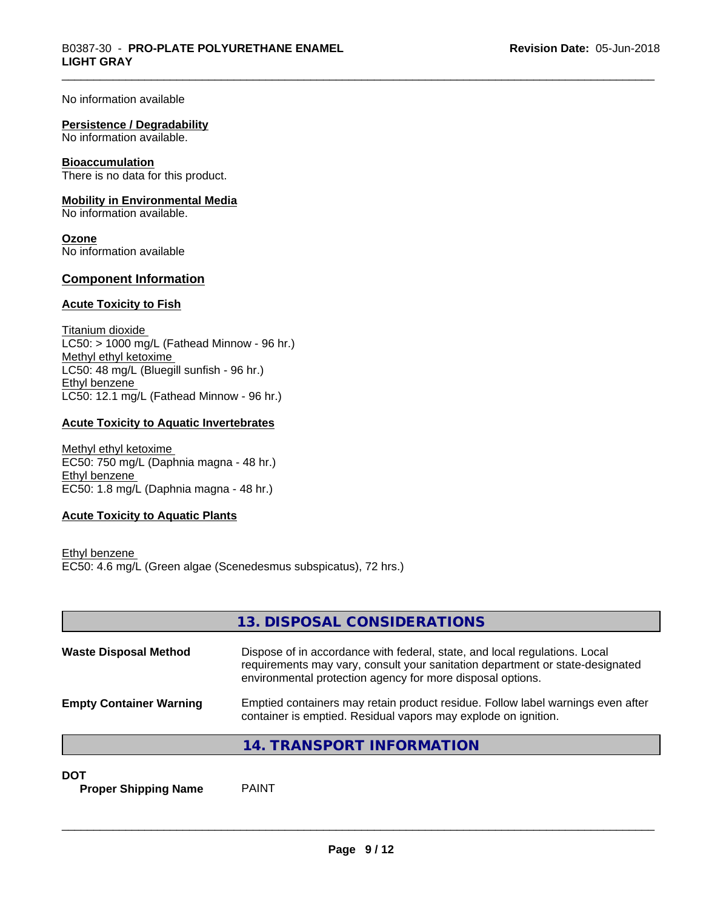No information available

#### **Persistence / Degradability**

No information available.

#### **Bioaccumulation**

There is no data for this product.

#### **Mobility in Environmental Media**

No information available.

**Ozone** No information available

#### **Component Information**

#### **Acute Toxicity to Fish**

Titanium dioxide  $LC50:$  > 1000 mg/L (Fathead Minnow - 96 hr.) Methyl ethyl ketoxime LC50: 48 mg/L (Bluegill sunfish - 96 hr.) Ethyl benzene LC50: 12.1 mg/L (Fathead Minnow - 96 hr.)

#### **Acute Toxicity to Aquatic Invertebrates**

Methyl ethyl ketoxime EC50: 750 mg/L (Daphnia magna - 48 hr.) Ethyl benzene EC50: 1.8 mg/L (Daphnia magna - 48 hr.)

#### **Acute Toxicity to Aquatic Plants**

Ethyl benzene EC50: 4.6 mg/L (Green algae (Scenedesmus subspicatus), 72 hrs.)

|                                | 13. DISPOSAL CONSIDERATIONS                                                                                                                                                                                               |
|--------------------------------|---------------------------------------------------------------------------------------------------------------------------------------------------------------------------------------------------------------------------|
| <b>Waste Disposal Method</b>   | Dispose of in accordance with federal, state, and local regulations. Local<br>requirements may vary, consult your sanitation department or state-designated<br>environmental protection agency for more disposal options. |
| <b>Empty Container Warning</b> | Emptied containers may retain product residue. Follow label warnings even after<br>container is emptied. Residual vapors may explode on ignition.                                                                         |
|                                | 14. TRANSPORT INFORMATION                                                                                                                                                                                                 |

**DOT**

**Proper Shipping Name** PAINT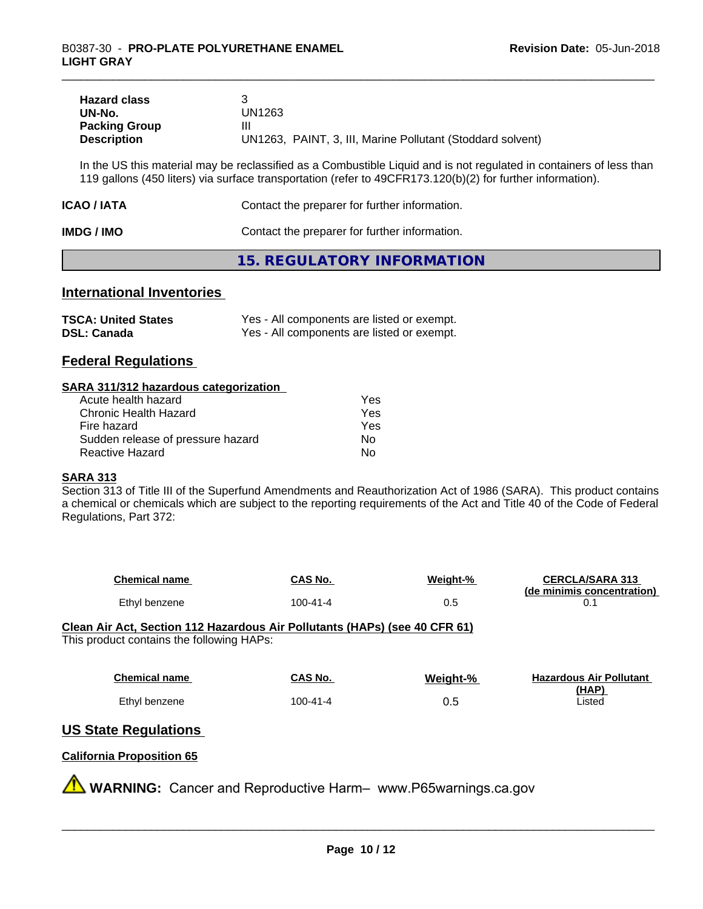| <b>Hazard class</b>  |                                                            |
|----------------------|------------------------------------------------------------|
| UN-No.               | UN1263                                                     |
| <b>Packing Group</b> | Ш                                                          |
| <b>Description</b>   | UN1263, PAINT, 3, III, Marine Pollutant (Stoddard solvent) |

In the US this material may be reclassified as a Combustible Liquid and is not regulated in containers of less than 119 gallons (450 liters) via surface transportation (refer to 49CFR173.120(b)(2) for further information).

| ICAO / IATA | Contact the preparer for further information. |
|-------------|-----------------------------------------------|
| IMDG / IMO  | Contact the preparer for further information. |

### **15. REGULATORY INFORMATION**

## **International Inventories**

| <b>TSCA: United States</b> | Yes - All components are listed or exempt. |
|----------------------------|--------------------------------------------|
| <b>DSL: Canada</b>         | Yes - All components are listed or exempt. |

### **Federal Regulations**

#### **SARA 311/312 hazardous categorization**

| Acute health hazard               | Yes |  |
|-----------------------------------|-----|--|
| Chronic Health Hazard             | Yes |  |
| Fire hazard                       | Yes |  |
| Sudden release of pressure hazard | Nο  |  |
| Reactive Hazard                   | Nο  |  |

#### **SARA 313**

Section 313 of Title III of the Superfund Amendments and Reauthorization Act of 1986 (SARA). This product contains a chemical or chemicals which are subject to the reporting requirements of the Act and Title 40 of the Code of Federal Regulations, Part 372:

| <b>Chemical name</b> | CAS No.  | Weight-% | <b>CERCLA/SARA 313</b><br>(de minimis concentration) |
|----------------------|----------|----------|------------------------------------------------------|
| Ethyl benzene        | 100-41-4 | U.J      |                                                      |

**Clean Air Act,Section 112 Hazardous Air Pollutants (HAPs) (see 40 CFR 61)** This product contains the following HAPs:

| <b>Chemical name</b> | CAS No.  | Weight-% | <b>Hazardous Air Pollutant</b> |
|----------------------|----------|----------|--------------------------------|
|                      |          |          | (HAP)                          |
| Ethyl benzene        | 100-41-4 | 0.5      | Listed                         |

# **US State Regulations**

### **California Proposition 65**

**WARNING:** Cancer and Reproductive Harm– www.P65warnings.ca.gov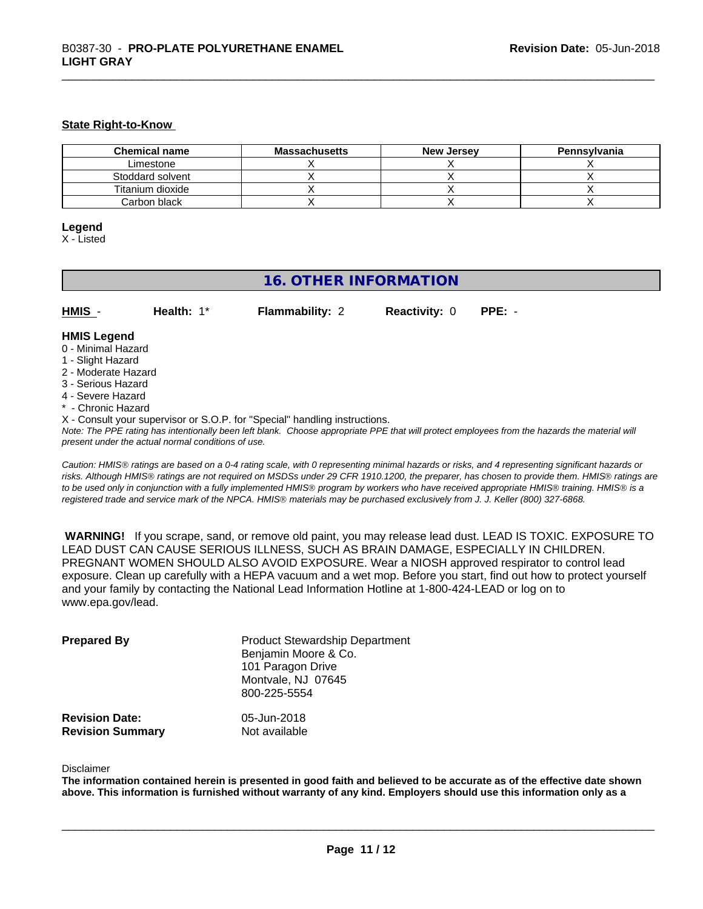#### **State Right-to-Know**

| <b>Chemical name</b> | <b>Massachusetts</b> | <b>New Jersey</b> | Pennsylvania |
|----------------------|----------------------|-------------------|--------------|
| Limestone            |                      |                   |              |
| Stoddard solvent     |                      |                   |              |
| Titanium dioxide     |                      |                   |              |
| Carbon black         |                      |                   |              |

#### **Legend**

X - Listed

# **16. OTHER INFORMATION**

| HMIS | Health: $1^*$ | <b>Flammability: 2</b> | <b>Reactivity: 0 PPE: -</b> |  |
|------|---------------|------------------------|-----------------------------|--|
|      |               |                        |                             |  |

# **HMIS Legend**

- 0 Minimal Hazard
- 1 Slight Hazard
- 2 Moderate Hazard
- 3 Serious Hazard
- 4 Severe Hazard
- \* Chronic Hazard
- X Consult your supervisor or S.O.P. for "Special" handling instructions.

*Note: The PPE rating has intentionally been left blank. Choose appropriate PPE that will protect employees from the hazards the material will present under the actual normal conditions of use.*

*Caution: HMISÒ ratings are based on a 0-4 rating scale, with 0 representing minimal hazards or risks, and 4 representing significant hazards or risks. Although HMISÒ ratings are not required on MSDSs under 29 CFR 1910.1200, the preparer, has chosen to provide them. HMISÒ ratings are to be used only in conjunction with a fully implemented HMISÒ program by workers who have received appropriate HMISÒ training. HMISÒ is a registered trade and service mark of the NPCA. HMISÒ materials may be purchased exclusively from J. J. Keller (800) 327-6868.*

 **WARNING!** If you scrape, sand, or remove old paint, you may release lead dust. LEAD IS TOXIC. EXPOSURE TO LEAD DUST CAN CAUSE SERIOUS ILLNESS, SUCH AS BRAIN DAMAGE, ESPECIALLY IN CHILDREN. PREGNANT WOMEN SHOULD ALSO AVOID EXPOSURE. Wear a NIOSH approved respirator to control lead exposure. Clean up carefully with a HEPA vacuum and a wet mop. Before you start, find out how to protect yourself and your family by contacting the National Lead Information Hotline at 1-800-424-LEAD or log on to www.epa.gov/lead.

| <b>Prepared By</b>      | <b>Product Stewardship Department</b><br>Benjamin Moore & Co.<br>101 Paragon Drive<br>Montvale, NJ 07645<br>800-225-5554 |
|-------------------------|--------------------------------------------------------------------------------------------------------------------------|
| <b>Revision Date:</b>   | 05-Jun-2018                                                                                                              |
| <b>Revision Summary</b> | Not available                                                                                                            |

#### Disclaimer

The information contained herein is presented in good faith and believed to be accurate as of the effective date shown above. This information is furnished without warranty of any kind. Employers should use this information only as a